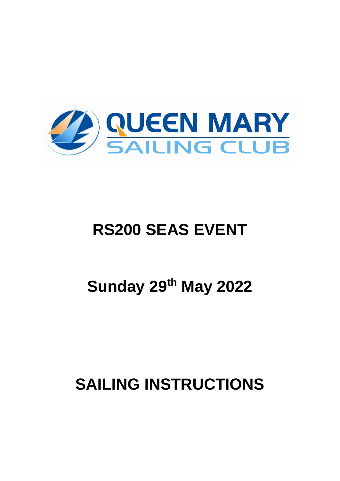

# **RS200 SEAS EVENT**

# **Sunday 29th May 2022**

# **SAILING INSTRUCTIONS**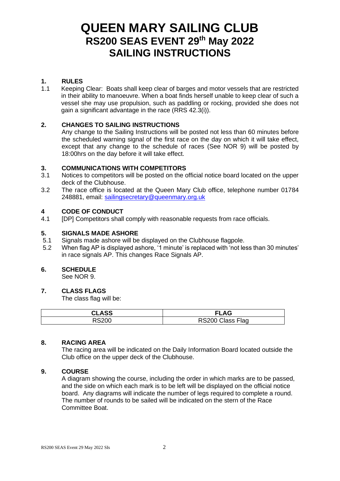# **QUEEN MARY SAILING CLUB RS200 SEAS EVENT 29th May 2022 SAILING INSTRUCTIONS**

# **1. RULES**

1.1 Keeping Clear:Boats shall keep clear of barges and motor vessels that are restricted in their ability to manoeuvre. When a boat finds herself unable to keep clear of such a vessel she may use propulsion, such as paddling or rocking, provided she does not gain a significant advantage in the race (RRS 42.3(i)).

#### **2. CHANGES TO SAILING INSTRUCTIONS**

Any change to the Sailing Instructions will be posted not less than 60 minutes before the scheduled warning signal of the first race on the day on which it will take effect, except that any change to the schedule of races (See NOR 9) will be posted by 18:00hrs on the day before it will take effect.

### **3. COMMUNICATIONS WITH COMPETITORS**

- 3.1 Notices to competitors will be posted on the official notice board located on the upper deck of the Clubhouse.
- 3.2 The race office is located at the Queen Mary Club office, telephone number 01784 248881, email: [sailingsecretary@queenmary.org.uk](mailto:sailingsecretary@queenmary.org.uk)

#### **4 CODE OF CONDUCT**

4.1 [DP] Competitors shall comply with reasonable requests from race officials.

#### **5. SIGNALS MADE ASHORE**

- 5.1 Signals made ashore will be displayed on the Clubhouse flagpole.
- 5.2 When flag AP is displayed ashore, '1 minute' is replaced with 'not less than 30 minutes' in race signals AP. This changes Race Signals AP.

#### **6. SCHEDULE**

See NOR 9.

#### **7. CLASS FLAGS**

The class flag will be:

| <b>CLASS</b> | <b>FLAG</b>      |
|--------------|------------------|
| RS200        | RS200 Class Flag |

#### **8. RACING AREA**

The racing area will be indicated on the Daily Information Board located outside the Club office on the upper deck of the Clubhouse.

#### **9. COURSE**

A diagram showing the course, including the order in which marks are to be passed, and the side on which each mark is to be left will be displayed on the official notice board. Any diagrams will indicate the number of legs required to complete a round. The number of rounds to be sailed will be indicated on the stern of the Race Committee Boat.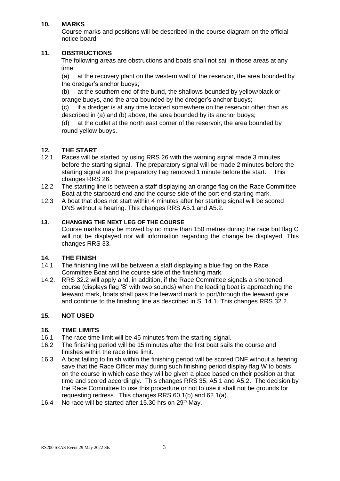## **10. MARKS**

Course marks and positions will be described in the course diagram on the official notice board.

### **11. OBSTRUCTIONS**

The following areas are obstructions and boats shall not sail in those areas at any time:

(a) at the recovery plant on the western wall of the reservoir, the area bounded by the dredger's anchor buoys;

(b) at the southern end of the bund, the shallows bounded by yellow/black or orange buoys, and the area bounded by the dredger's anchor buoys;

(c) if a dredger is at any time located somewhere on the reservoir other than as described in (a) and (b) above, the area bounded by its anchor buoys;

(d) at the outlet at the north east corner of the reservoir, the area bounded by round yellow buoys.

### **12. THE START**

- 12.1 Races will be started by using RRS 26 with the warning signal made 3 minutes before the starting signal. The preparatory signal will be made 2 minutes before the starting signal and the preparatory flag removed 1 minute before the start. This changes RRS 26.
- 12.2 The starting line is between a staff displaying an orange flag on the Race Committee Boat at the starboard end and the course side of the port end starting mark.
- 12.3 A boat that does not start within 4 minutes after her starting signal will be scored DNS without a hearing. This changes RRS A5.1 and A5.2.

# **13. CHANGING THE NEXT LEG OF THE COURSE**

Course marks may be moved by no more than 150 metres during the race but flag C will not be displayed nor will information regarding the change be displayed. This changes RRS 33.

#### **14. THE FINISH**

- 14.1 The finishing line will be between a staff displaying a blue flag on the Race Committee Boat and the course side of the finishing mark.
- 14.2. RRS 32.2 will apply and, in addition, if the Race Committee signals a shortened course (displays flag 'S' with two sounds) when the leading boat is approaching the leeward mark, boats shall pass the leeward mark to port/through the leeward gate and continue to the finishing line as described in SI 14.1. This changes RRS 32.2.

#### **15. NOT USED**

#### **16. TIME LIMITS**

- 16.1 The race time limit will be 45 minutes from the starting signal.
- 16.2 The finishing period will be 15 minutes after the first boat sails the course and finishes within the race time limit.
- 16.3 A boat failing to finish within the finishing period will be scored DNF without a hearing save that the Race Officer may during such finishing period display flag W to boats on the course in which case they will be given a place based on their position at that time and scored accordingly. This changes RRS 35, A5.1 and A5.2. The decision by the Race Committee to use this procedure or not to use it shall not be grounds for requesting redress. This changes RRS 60.1(b) and 62.1(a).
- 16.4 No race will be started after 15.30 hrs on 29<sup>th</sup> May.